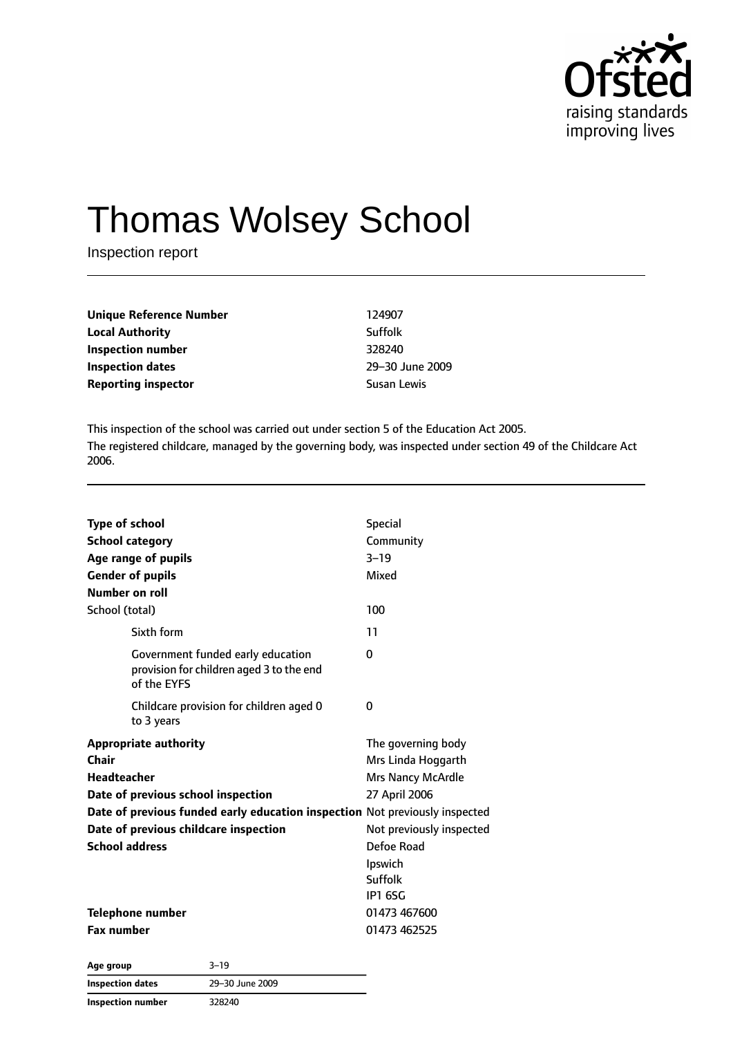

# Thomas Wolsey School

Inspection report

| Unique Reference Number    | 124907      |
|----------------------------|-------------|
| <b>Local Authority</b>     | Suffolk     |
| Inspection number          | 328240      |
| Inspection dates           | $29 - 30$ . |
| <b>Reporting inspector</b> | Susan L     |

**Inspection dates** 29–30 June 2009 **Susan Lewis** 

This inspection of the school was carried out under section 5 of the Education Act 2005. The registered childcare, managed by the governing body, was inspected under section 49 of the Childcare Act 2006.

| <b>Type of school</b>                                                                        | <b>Special</b>           |
|----------------------------------------------------------------------------------------------|--------------------------|
| <b>School category</b>                                                                       | Community                |
| Age range of pupils                                                                          | $3 - 19$                 |
| <b>Gender of pupils</b>                                                                      | Mixed                    |
| Number on roll                                                                               |                          |
| School (total)                                                                               | 100                      |
| Sixth form                                                                                   | 11                       |
| Government funded early education<br>provision for children aged 3 to the end<br>of the EYFS | 0                        |
| Childcare provision for children aged 0<br>to 3 years                                        | 0                        |
| <b>Appropriate authority</b>                                                                 | The governing body       |
| Chair                                                                                        | Mrs Linda Hoggarth       |
| <b>Headteacher</b>                                                                           | <b>Mrs Nancy McArdle</b> |
| Date of previous school inspection                                                           | 27 April 2006            |
| Date of previous funded early education inspection Not previously inspected                  |                          |
| Date of previous childcare inspection                                                        | Not previously inspected |
| <b>School address</b>                                                                        | Defoe Road               |
|                                                                                              | Ipswich                  |
|                                                                                              | Suffolk                  |
|                                                                                              | <b>IP1 6SG</b>           |
| <b>Telephone number</b>                                                                      | 01473 467600             |
| <b>Fax number</b>                                                                            | 01473 462525             |
|                                                                                              |                          |

**Age group** 3–19 **Inspection dates** 29–30 June 2009 **Inspection number** 328240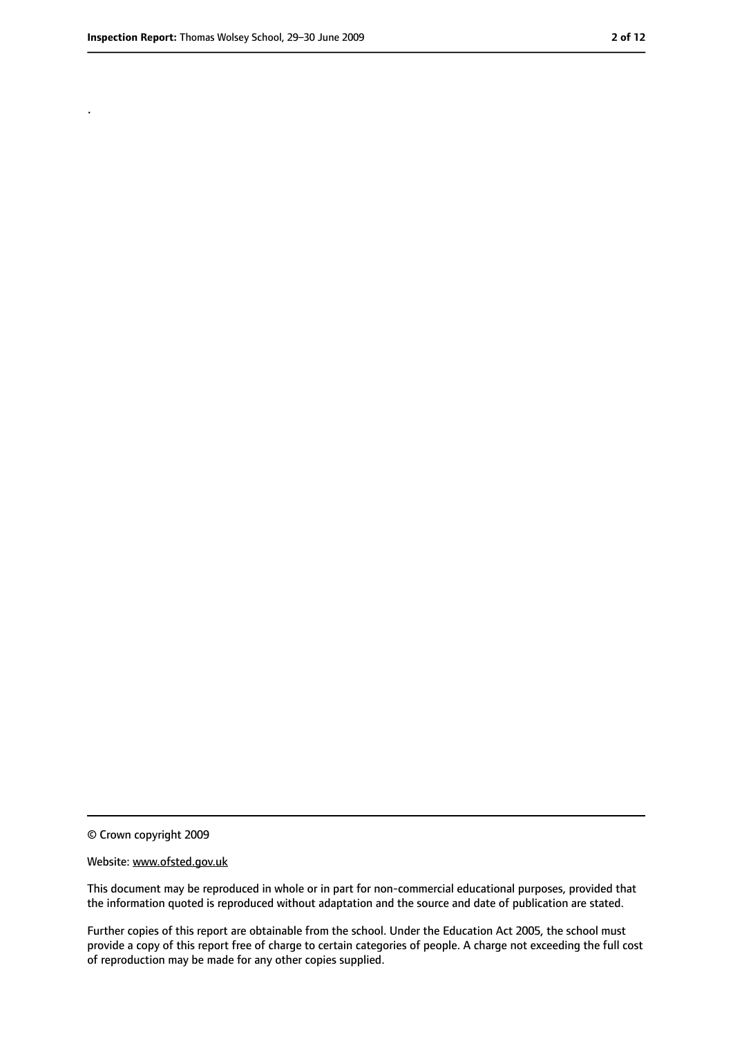.

<sup>©</sup> Crown copyright 2009

Website: www.ofsted.gov.uk

This document may be reproduced in whole or in part for non-commercial educational purposes, provided that the information quoted is reproduced without adaptation and the source and date of publication are stated.

Further copies of this report are obtainable from the school. Under the Education Act 2005, the school must provide a copy of this report free of charge to certain categories of people. A charge not exceeding the full cost of reproduction may be made for any other copies supplied.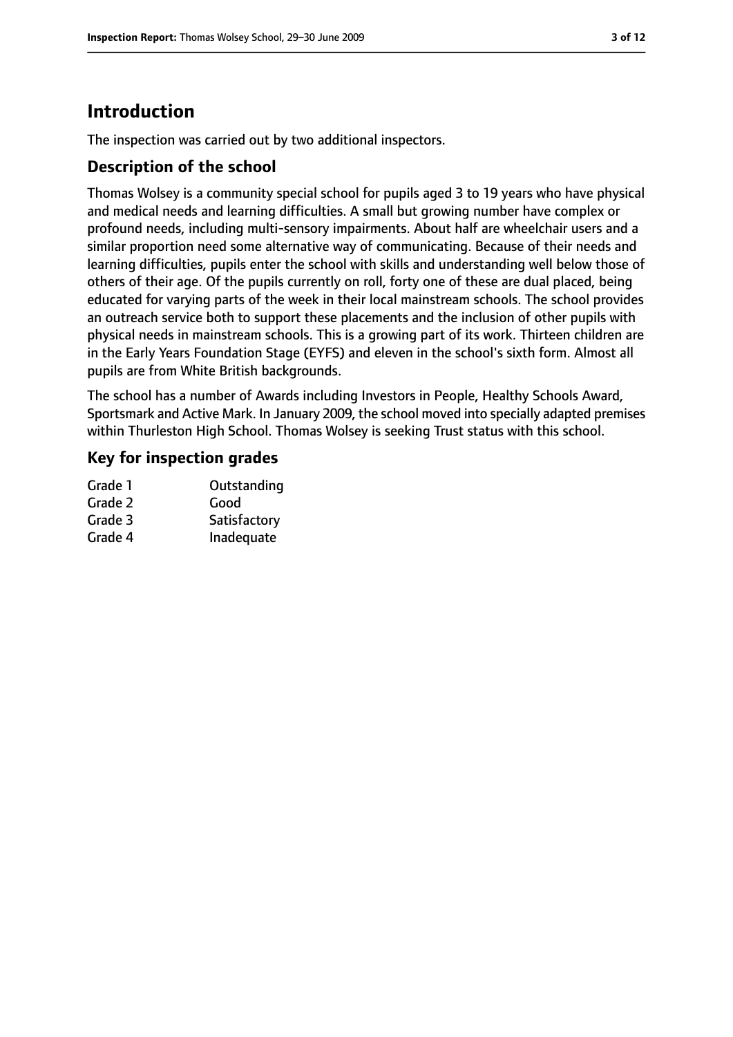# **Introduction**

The inspection was carried out by two additional inspectors.

### **Description of the school**

Thomas Wolsey is a community special school for pupils aged 3 to 19 years who have physical and medical needs and learning difficulties. A small but growing number have complex or profound needs, including multi-sensory impairments. About half are wheelchair users and a similar proportion need some alternative way of communicating. Because of their needs and learning difficulties, pupils enter the school with skills and understanding well below those of others of their age. Of the pupils currently on roll, forty one of these are dual placed, being educated for varying parts of the week in their local mainstream schools. The school provides an outreach service both to support these placements and the inclusion of other pupils with physical needs in mainstream schools. This is a growing part of its work. Thirteen children are in the Early Years Foundation Stage (EYFS) and eleven in the school's sixth form. Almost all pupils are from White British backgrounds.

The school has a number of Awards including Investors in People, Healthy Schools Award, Sportsmark and Active Mark. In January 2009, the school moved into specially adapted premises within Thurleston High School. Thomas Wolsey is seeking Trust status with this school.

### **Key for inspection grades**

| Grade 1 | Outstanding  |
|---------|--------------|
| Grade 2 | Good         |
| Grade 3 | Satisfactory |
| Grade 4 | Inadequate   |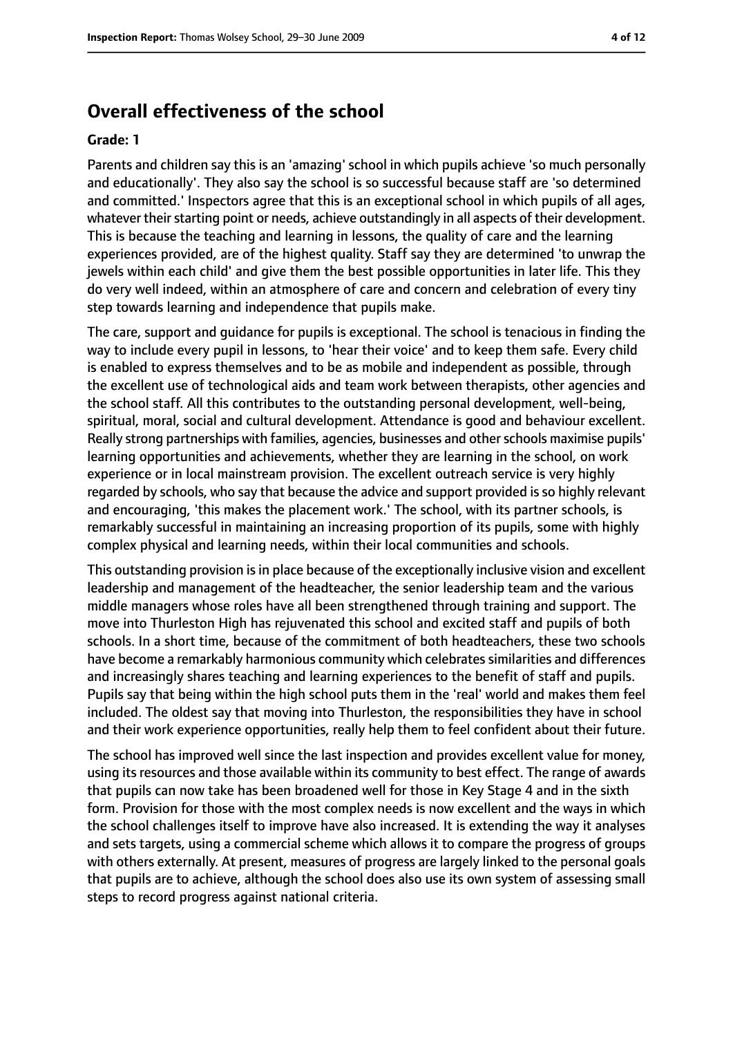# **Overall effectiveness of the school**

#### **Grade: 1**

Parents and children say this is an 'amazing' school in which pupils achieve 'so much personally and educationally'. They also say the school is so successful because staff are 'so determined and committed.' Inspectors agree that this is an exceptional school in which pupils of all ages, whatever their starting point or needs, achieve outstandingly in all aspects of their development. This is because the teaching and learning in lessons, the quality of care and the learning experiences provided, are of the highest quality. Staff say they are determined 'to unwrap the jewels within each child' and give them the best possible opportunities in later life. This they do very well indeed, within an atmosphere of care and concern and celebration of every tiny step towards learning and independence that pupils make.

The care, support and guidance for pupils is exceptional. The school is tenacious in finding the way to include every pupil in lessons, to 'hear their voice' and to keep them safe. Every child is enabled to express themselves and to be as mobile and independent as possible, through the excellent use of technological aids and team work between therapists, other agencies and the school staff. All this contributes to the outstanding personal development, well-being, spiritual, moral, social and cultural development. Attendance is good and behaviour excellent. Really strong partnerships with families, agencies, businesses and other schools maximise pupils' learning opportunities and achievements, whether they are learning in the school, on work experience or in local mainstream provision. The excellent outreach service is very highly regarded by schools, who say that because the advice and support provided isso highly relevant and encouraging, 'this makes the placement work.' The school, with its partner schools, is remarkably successful in maintaining an increasing proportion of its pupils, some with highly complex physical and learning needs, within their local communities and schools.

This outstanding provision is in place because of the exceptionally inclusive vision and excellent leadership and management of the headteacher, the senior leadership team and the various middle managers whose roles have all been strengthened through training and support. The move into Thurleston High has rejuvenated this school and excited staff and pupils of both schools. In a short time, because of the commitment of both headteachers, these two schools have become a remarkably harmonious community which celebratessimilarities and differences and increasingly shares teaching and learning experiences to the benefit of staff and pupils. Pupils say that being within the high school puts them in the 'real' world and makes them feel included. The oldest say that moving into Thurleston, the responsibilities they have in school and their work experience opportunities, really help them to feel confident about their future.

The school has improved well since the last inspection and provides excellent value for money, using its resources and those available within its community to best effect. The range of awards that pupils can now take has been broadened well for those in Key Stage 4 and in the sixth form. Provision for those with the most complex needs is now excellent and the ways in which the school challenges itself to improve have also increased. It is extending the way it analyses and sets targets, using a commercial scheme which allows it to compare the progress of groups with others externally. At present, measures of progress are largely linked to the personal goals that pupils are to achieve, although the school does also use its own system of assessing small steps to record progress against national criteria.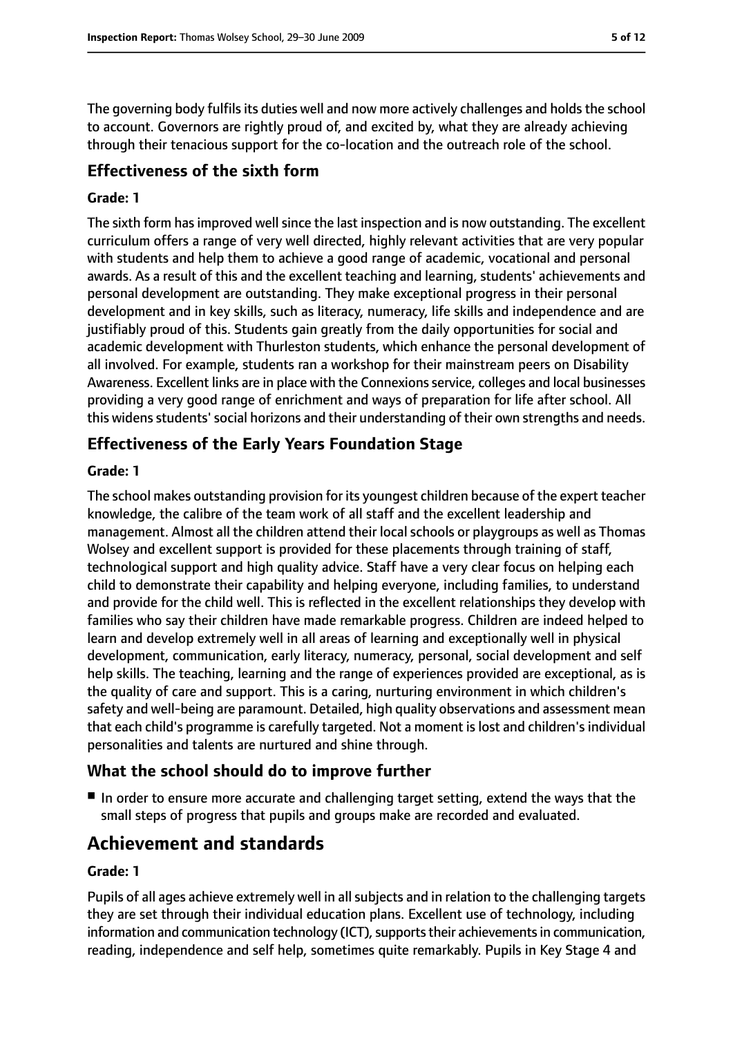The governing body fulfils its duties well and now more actively challenges and holds the school to account. Governors are rightly proud of, and excited by, what they are already achieving through their tenacious support for the co-location and the outreach role of the school.

## **Effectiveness of the sixth form**

#### **Grade: 1**

The sixth form has improved well since the last inspection and is now outstanding. The excellent curriculum offers a range of very well directed, highly relevant activities that are very popular with students and help them to achieve a good range of academic, vocational and personal awards. As a result of this and the excellent teaching and learning, students' achievements and personal development are outstanding. They make exceptional progress in their personal development and in key skills, such as literacy, numeracy, life skills and independence and are justifiably proud of this. Students gain greatly from the daily opportunities for social and academic development with Thurleston students, which enhance the personal development of all involved. For example, students ran a workshop for their mainstream peers on Disability Awareness. Excellent links are in place with the Connexions service, colleges and local businesses providing a very good range of enrichment and ways of preparation for life after school. All this widensstudents'social horizons and their understanding of their own strengths and needs.

## **Effectiveness of the Early Years Foundation Stage**

#### **Grade: 1**

The school makes outstanding provision for its youngest children because of the expert teacher knowledge, the calibre of the team work of all staff and the excellent leadership and management. Almost all the children attend their local schools or playgroups as well as Thomas Wolsey and excellent support is provided for these placements through training of staff, technological support and high quality advice. Staff have a very clear focus on helping each child to demonstrate their capability and helping everyone, including families, to understand and provide for the child well. This is reflected in the excellent relationships they develop with families who say their children have made remarkable progress. Children are indeed helped to learn and develop extremely well in all areas of learning and exceptionally well in physical development, communication, early literacy, numeracy, personal, social development and self help skills. The teaching, learning and the range of experiences provided are exceptional, as is the quality of care and support. This is a caring, nurturing environment in which children's safety and well-being are paramount. Detailed, high quality observations and assessment mean that each child's programme is carefully targeted. Not a moment is lost and children's individual personalities and talents are nurtured and shine through.

## **What the school should do to improve further**

■ In order to ensure more accurate and challenging target setting, extend the ways that the small steps of progress that pupils and groups make are recorded and evaluated.

# **Achievement and standards**

#### **Grade: 1**

Pupils of all ages achieve extremely well in all subjects and in relation to the challenging targets they are set through their individual education plans. Excellent use of technology, including information and communication technology (ICT), supports their achievements in communication, reading, independence and self help, sometimes quite remarkably. Pupils in Key Stage 4 and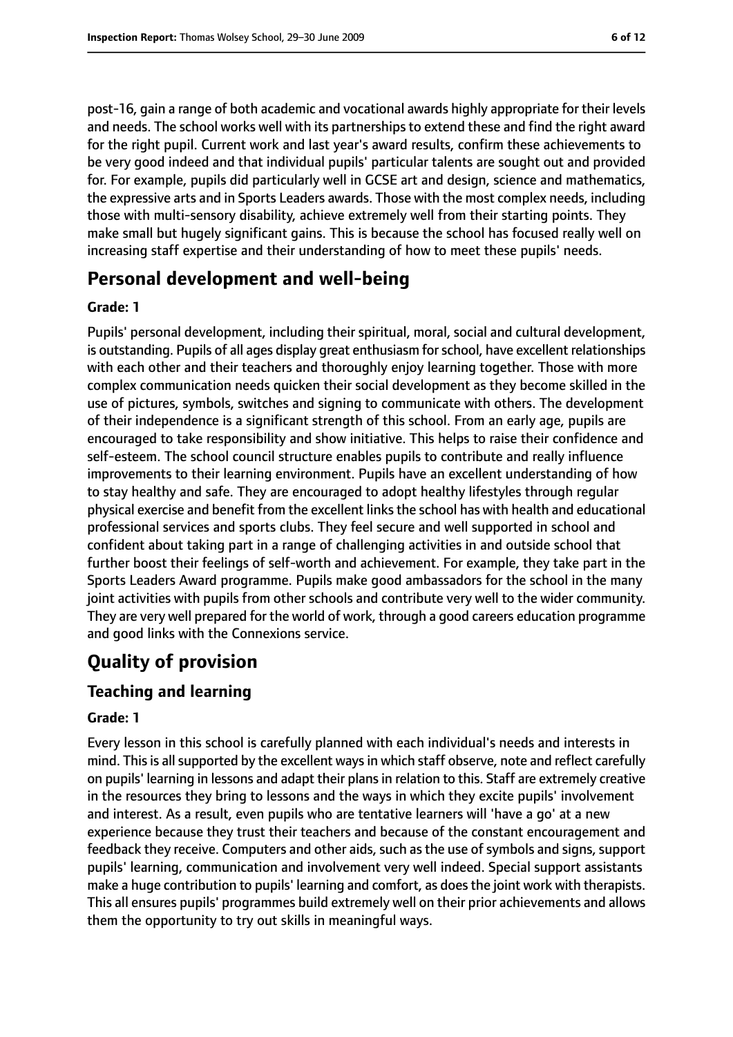post-16, gain a range of both academic and vocational awards highly appropriate for their levels and needs. The school works well with its partnerships to extend these and find the right award for the right pupil. Current work and last year's award results, confirm these achievements to be very good indeed and that individual pupils' particular talents are sought out and provided for. For example, pupils did particularly well in GCSE art and design, science and mathematics, the expressive arts and in Sports Leaders awards. Those with the most complex needs, including those with multi-sensory disability, achieve extremely well from their starting points. They make small but hugely significant gains. This is because the school has focused really well on increasing staff expertise and their understanding of how to meet these pupils' needs.

# **Personal development and well-being**

#### **Grade: 1**

Pupils' personal development, including their spiritual, moral, social and cultural development, is outstanding. Pupils of all ages display great enthusiasm for school, have excellent relationships with each other and their teachers and thoroughly enjoy learning together. Those with more complex communication needs quicken their social development as they become skilled in the use of pictures, symbols, switches and signing to communicate with others. The development of their independence is a significant strength of this school. From an early age, pupils are encouraged to take responsibility and show initiative. This helps to raise their confidence and self-esteem. The school council structure enables pupils to contribute and really influence improvements to their learning environment. Pupils have an excellent understanding of how to stay healthy and safe. They are encouraged to adopt healthy lifestyles through regular physical exercise and benefit from the excellent linksthe school has with health and educational professional services and sports clubs. They feel secure and well supported in school and confident about taking part in a range of challenging activities in and outside school that further boost their feelings of self-worth and achievement. For example, they take part in the Sports Leaders Award programme. Pupils make good ambassadors for the school in the many joint activities with pupils from other schools and contribute very well to the wider community. They are very well prepared for the world of work, through a good careers education programme and good links with the Connexions service.

# **Quality of provision**

## **Teaching and learning**

#### **Grade: 1**

Every lesson in this school is carefully planned with each individual's needs and interests in mind. This is all supported by the excellent ways in which staff observe, note and reflect carefully on pupils' learning in lessons and adapt their plans in relation to this. Staff are extremely creative in the resources they bring to lessons and the ways in which they excite pupils' involvement and interest. As a result, even pupils who are tentative learners will 'have a go' at a new experience because they trust their teachers and because of the constant encouragement and feedback they receive. Computers and other aids, such as the use of symbols and signs, support pupils' learning, communication and involvement very well indeed. Special support assistants make a huge contribution to pupils' learning and comfort, as doesthe joint work with therapists. This all ensures pupils' programmes build extremely well on their prior achievements and allows them the opportunity to try out skills in meaningful ways.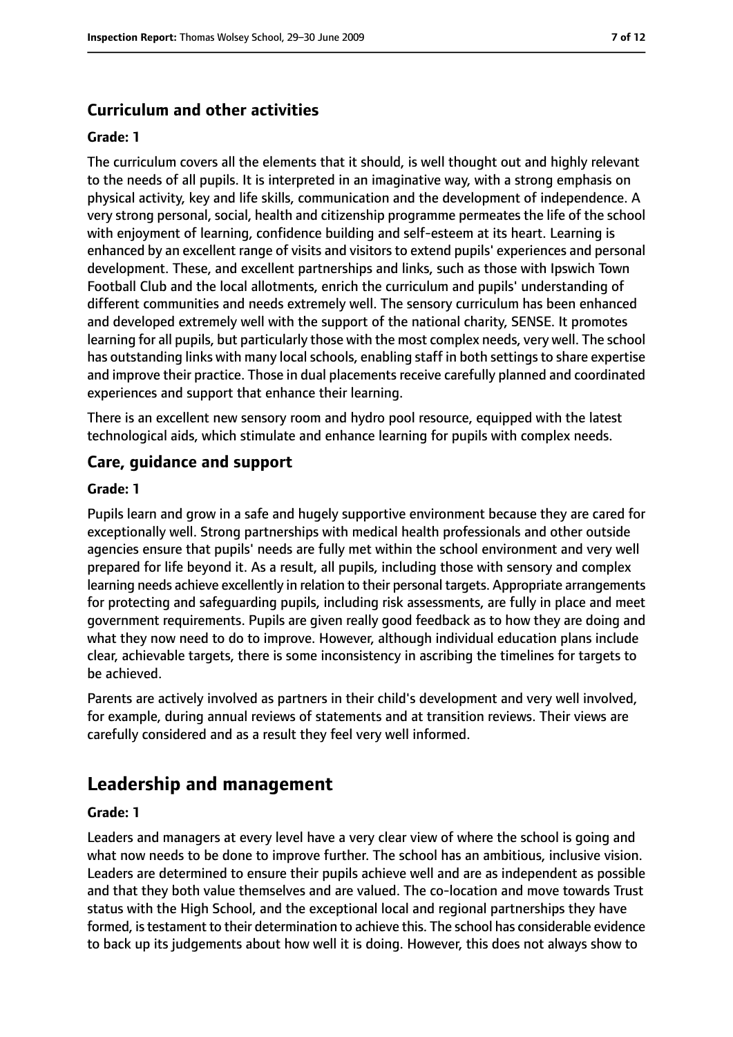## **Curriculum and other activities**

#### **Grade: 1**

The curriculum covers all the elements that it should, is well thought out and highly relevant to the needs of all pupils. It is interpreted in an imaginative way, with a strong emphasis on physical activity, key and life skills, communication and the development of independence. A very strong personal, social, health and citizenship programme permeates the life of the school with enjoyment of learning, confidence building and self-esteem at its heart. Learning is enhanced by an excellent range of visits and visitors to extend pupils' experiences and personal development. These, and excellent partnerships and links, such as those with Ipswich Town Football Club and the local allotments, enrich the curriculum and pupils' understanding of different communities and needs extremely well. The sensory curriculum has been enhanced and developed extremely well with the support of the national charity, SENSE. It promotes learning for all pupils, but particularly those with the most complex needs, very well. The school has outstanding links with many local schools, enabling staff in both settings to share expertise and improve their practice. Those in dual placements receive carefully planned and coordinated experiences and support that enhance their learning.

There is an excellent new sensory room and hydro pool resource, equipped with the latest technological aids, which stimulate and enhance learning for pupils with complex needs.

#### **Care, guidance and support**

#### **Grade: 1**

Pupils learn and grow in a safe and hugely supportive environment because they are cared for exceptionally well. Strong partnerships with medical health professionals and other outside agencies ensure that pupils' needs are fully met within the school environment and very well prepared for life beyond it. As a result, all pupils, including those with sensory and complex learning needs achieve excellently in relation to their personal targets. Appropriate arrangements for protecting and safeguarding pupils, including risk assessments, are fully in place and meet government requirements. Pupils are given really good feedback as to how they are doing and what they now need to do to improve. However, although individual education plans include clear, achievable targets, there is some inconsistency in ascribing the timelines for targets to be achieved.

Parents are actively involved as partners in their child's development and very well involved, for example, during annual reviews of statements and at transition reviews. Their views are carefully considered and as a result they feel very well informed.

# **Leadership and management**

#### **Grade: 1**

Leaders and managers at every level have a very clear view of where the school is going and what now needs to be done to improve further. The school has an ambitious, inclusive vision. Leaders are determined to ensure their pupils achieve well and are as independent as possible and that they both value themselves and are valued. The co-location and move towards Trust status with the High School, and the exceptional local and regional partnerships they have formed, istestament to their determination to achieve this. The school has considerable evidence to back up its judgements about how well it is doing. However, this does not always show to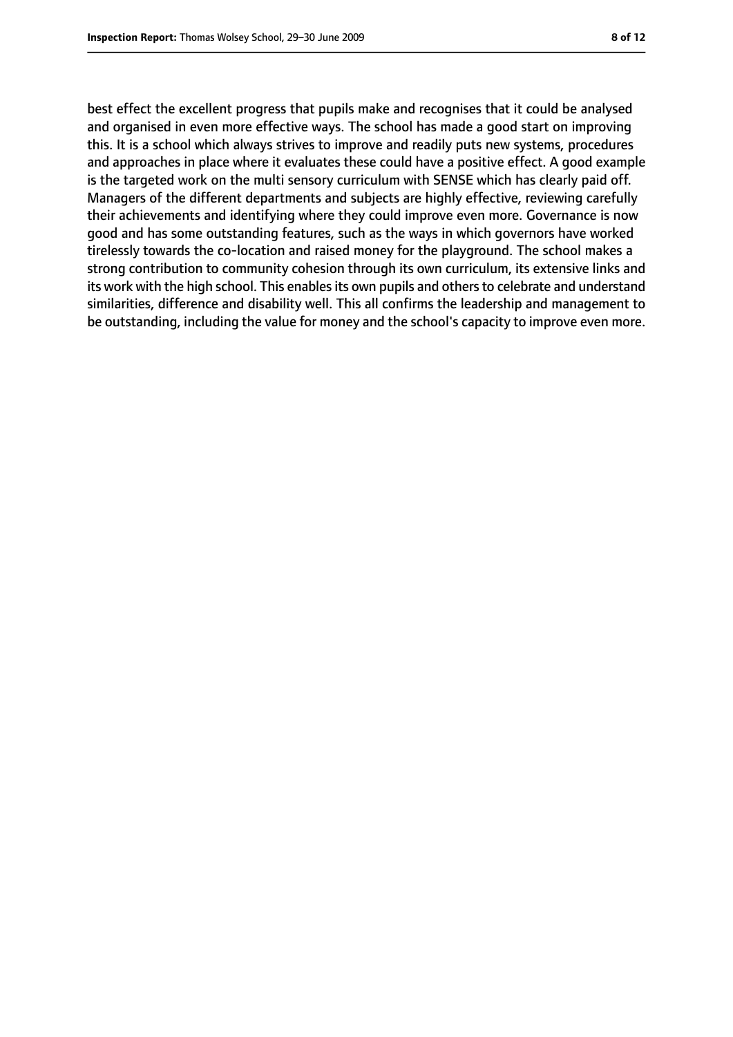best effect the excellent progress that pupils make and recognises that it could be analysed and organised in even more effective ways. The school has made a good start on improving this. It is a school which always strives to improve and readily puts new systems, procedures and approaches in place where it evaluates these could have a positive effect. A good example is the targeted work on the multi sensory curriculum with SENSE which has clearly paid off. Managers of the different departments and subjects are highly effective, reviewing carefully their achievements and identifying where they could improve even more. Governance is now good and has some outstanding features, such as the ways in which governors have worked tirelessly towards the co-location and raised money for the playground. The school makes a strong contribution to community cohesion through its own curriculum, its extensive links and its work with the high school. This enables its own pupils and others to celebrate and understand similarities, difference and disability well. This all confirms the leadership and management to be outstanding, including the value for money and the school's capacity to improve even more.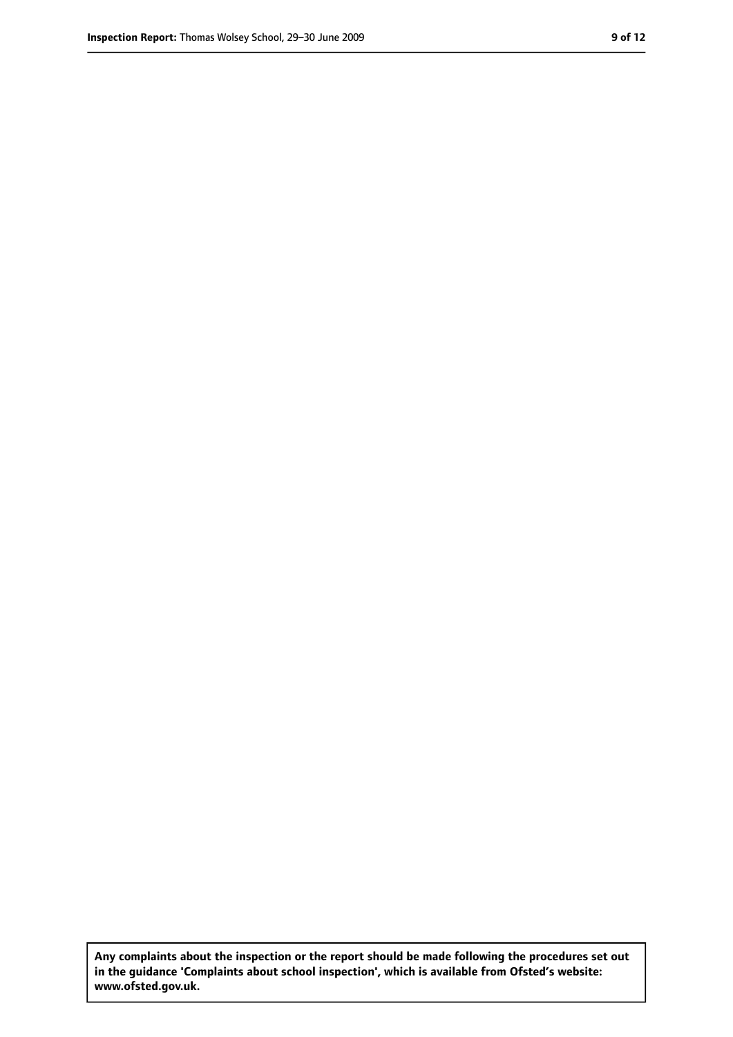**Any complaints about the inspection or the report should be made following the procedures set out in the guidance 'Complaints about school inspection', which is available from Ofsted's website: www.ofsted.gov.uk.**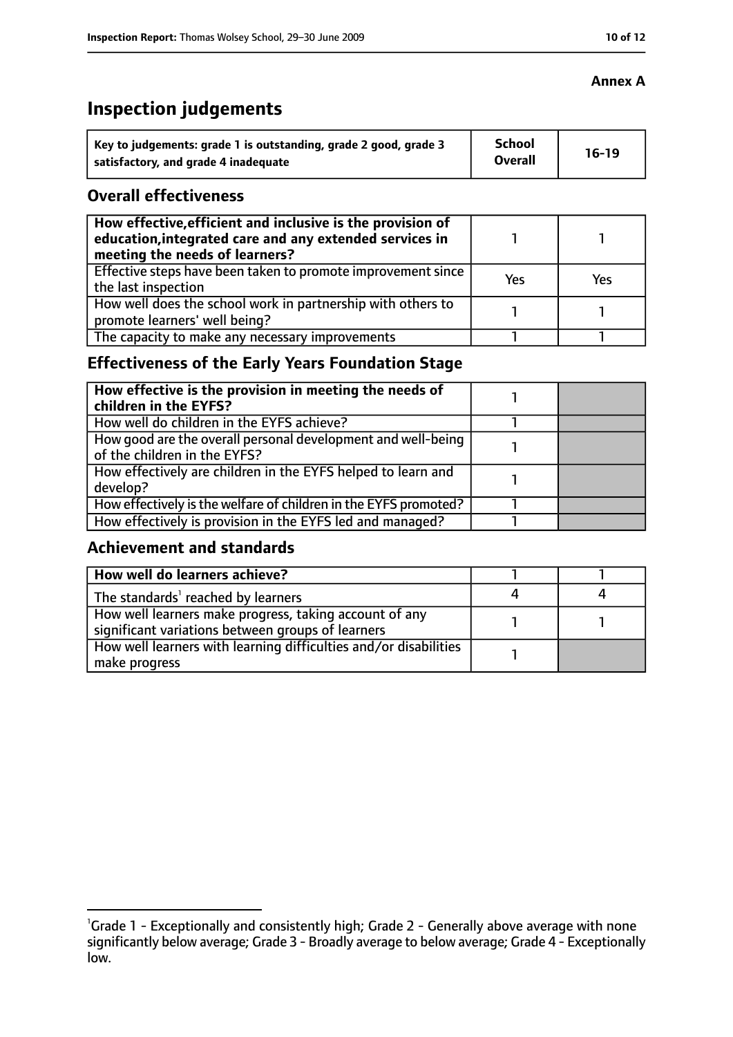# **Inspection judgements**

| Key to judgements: grade 1 is outstanding, grade 2 good, grade 3 | School<br><b>Overall</b> | $16-19$ |
|------------------------------------------------------------------|--------------------------|---------|
| satisfactory, and grade 4 inadequate                             |                          |         |

### **Overall effectiveness**

| How effective, efficient and inclusive is the provision of<br>education, integrated care and any extended services in<br>meeting the needs of learners? |     |     |
|---------------------------------------------------------------------------------------------------------------------------------------------------------|-----|-----|
| Effective steps have been taken to promote improvement since<br>the last inspection                                                                     | Yes | Yes |
| How well does the school work in partnership with others to<br>promote learners' well being?                                                            |     |     |
| The capacity to make any necessary improvements                                                                                                         |     |     |

# **Effectiveness of the Early Years Foundation Stage**

| How effective is the provision in meeting the needs of<br>children in the EYFS?              |  |
|----------------------------------------------------------------------------------------------|--|
| How well do children in the EYFS achieve?                                                    |  |
| How good are the overall personal development and well-being<br>of the children in the EYFS? |  |
| How effectively are children in the EYFS helped to learn and<br>develop?                     |  |
| How effectively is the welfare of children in the EYFS promoted?                             |  |
| How effectively is provision in the EYFS led and managed?                                    |  |

## **Achievement and standards**

| How well do learners achieve?                                                                               |  |
|-------------------------------------------------------------------------------------------------------------|--|
| The standards <sup>1</sup> reached by learners                                                              |  |
| How well learners make progress, taking account of any<br>significant variations between groups of learners |  |
| How well learners with learning difficulties and/or disabilities<br>  make progress                         |  |

#### **Annex A**

<sup>&</sup>lt;sup>1</sup>Grade 1 - Exceptionally and consistently high; Grade 2 - Generally above average with none significantly below average; Grade 3 - Broadly average to below average; Grade 4 - Exceptionally low.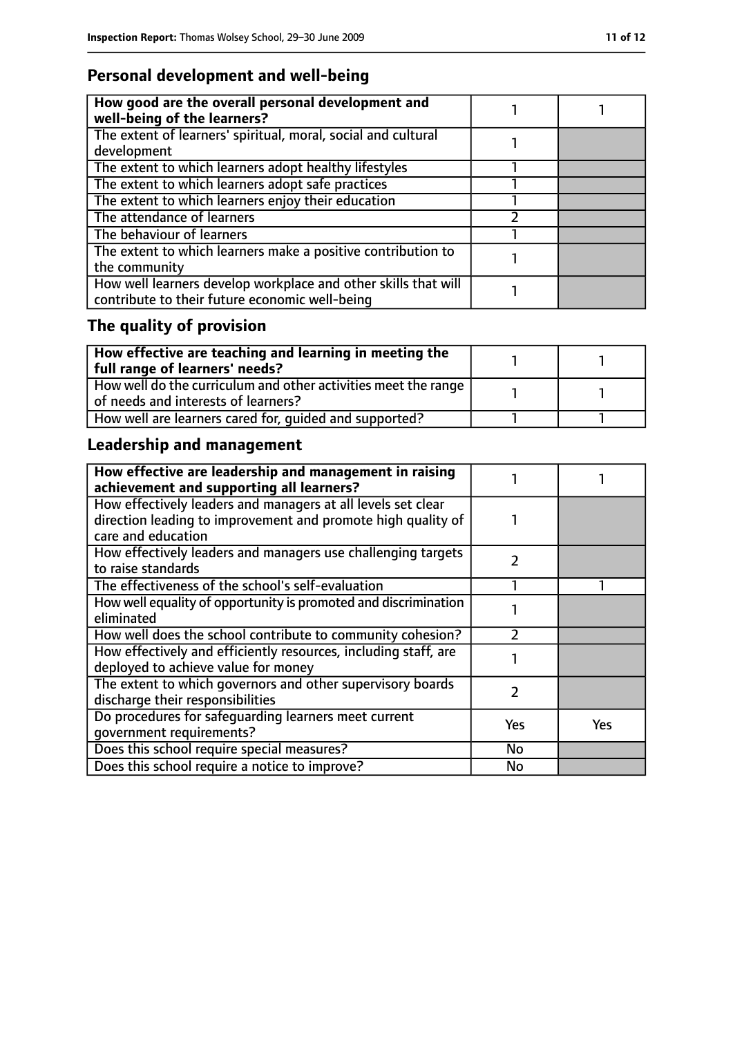# **Personal development and well-being**

| How good are the overall personal development and<br>well-being of the learners?                                 |  |
|------------------------------------------------------------------------------------------------------------------|--|
| The extent of learners' spiritual, moral, social and cultural<br>development                                     |  |
| The extent to which learners adopt healthy lifestyles                                                            |  |
| The extent to which learners adopt safe practices                                                                |  |
| The extent to which learners enjoy their education                                                               |  |
| The attendance of learners                                                                                       |  |
| The behaviour of learners                                                                                        |  |
| The extent to which learners make a positive contribution to<br>the community                                    |  |
| How well learners develop workplace and other skills that will<br>contribute to their future economic well-being |  |

# **The quality of provision**

| How effective are teaching and learning in meeting the<br>full range of learners' needs?              |  |
|-------------------------------------------------------------------------------------------------------|--|
| How well do the curriculum and other activities meet the range<br>of needs and interests of learners? |  |
| How well are learners cared for, quided and supported?                                                |  |

# **Leadership and management**

| How effective are leadership and management in raising<br>achievement and supporting all learners?                           |     |     |
|------------------------------------------------------------------------------------------------------------------------------|-----|-----|
| How effectively leaders and managers at all levels set clear<br>direction leading to improvement and promote high quality of |     |     |
| care and education                                                                                                           |     |     |
| How effectively leaders and managers use challenging targets<br>to raise standards                                           | フ   |     |
| The effectiveness of the school's self-evaluation                                                                            |     |     |
| How well equality of opportunity is promoted and discrimination<br>eliminated                                                |     |     |
| How well does the school contribute to community cohesion?                                                                   |     |     |
| How effectively and efficiently resources, including staff, are<br>deployed to achieve value for money                       |     |     |
| The extent to which governors and other supervisory boards<br>discharge their responsibilities                               | フ   |     |
| Do procedures for safeguarding learners meet current<br>qovernment requirements?                                             | Yes | Yes |
| Does this school require special measures?                                                                                   | No  |     |
| Does this school require a notice to improve?                                                                                | No  |     |